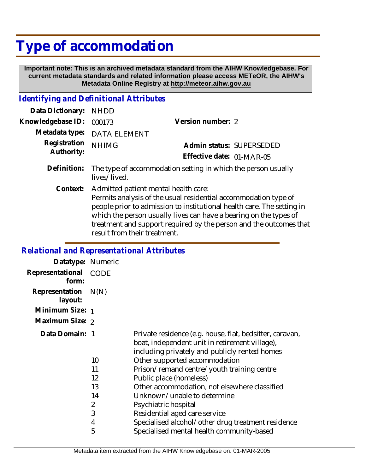## **Type of accommodation**

 **Important note: This is an archived metadata standard from the AIHW Knowledgebase. For current metadata standards and related information please access METeOR, the AIHW's Metadata Online Registry at http://meteor.aihw.gov.au**

## *Identifying and Definitional Attributes*

| Data Dictionary:           | <b>NHDD</b>                                                                                                                                                                                                                                            |                           |  |
|----------------------------|--------------------------------------------------------------------------------------------------------------------------------------------------------------------------------------------------------------------------------------------------------|---------------------------|--|
| Knowledgebase ID:          | 000173                                                                                                                                                                                                                                                 | Version number: 2         |  |
| Metadata type:             | <b>DATA ELEMENT</b>                                                                                                                                                                                                                                    |                           |  |
| Registration<br>Authority: | <b>NHIMG</b>                                                                                                                                                                                                                                           | Admin status: SUPERSEDED  |  |
|                            |                                                                                                                                                                                                                                                        | Effective date: 01-MAR-05 |  |
| Definition:                | The type of accommodation setting in which the person usually<br>lives/lived.                                                                                                                                                                          |                           |  |
| Context:                   | Admitted patient mental health care:<br>Permits analysis of the usual residential accommodation type of<br>people prior to admission to institutional health care. The setting in<br>which the person usually lives can have a bearing on the types of |                           |  |

which the person usually lives can have a bearing on the types of treatment and support required by the person and the outcomes that result from their treatment.

## *Relational and Representational Attributes*

| Datatype: Numeric         |             |                                                                                                                                                             |
|---------------------------|-------------|-------------------------------------------------------------------------------------------------------------------------------------------------------------|
| Representational<br>form: | <b>CODE</b> |                                                                                                                                                             |
| Representation<br>layout: | N(N)        |                                                                                                                                                             |
| Minimum Size: 1           |             |                                                                                                                                                             |
| Maximum Size: 2           |             |                                                                                                                                                             |
| Data Domain: 1            |             | Private residence (e.g. house, flat, bedsitter, caravan,<br>boat, independent unit in retirement village),<br>including privately and publicly rented homes |
|                           | 10          | Other supported accommodation                                                                                                                               |
|                           | 11          | Prison/remand centre/youth training centre                                                                                                                  |
|                           | 12          | Public place (homeless)                                                                                                                                     |
|                           | 13          | Other accommodation, not elsewhere classified                                                                                                               |
|                           | 14          | Unknown/unable to determine                                                                                                                                 |
|                           | 2           | Psychiatric hospital                                                                                                                                        |
|                           | 3           | Residential aged care service                                                                                                                               |
|                           | 4           | Specialised alcohol/other drug treatment residence                                                                                                          |
|                           | 5           | Specialised mental health community-based                                                                                                                   |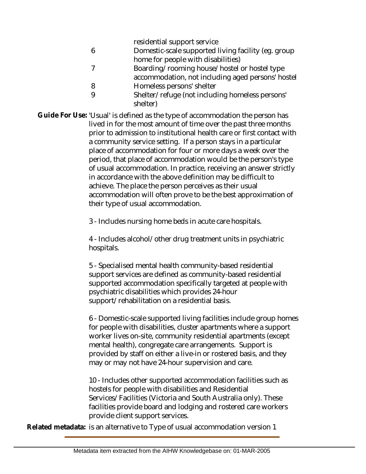residential support service

- 6 Domestic-scale supported living facility (eg. group home for people with disabilities)
- 7 8 Boarding/rooming house/hostel or hostel type accommodation, not including aged persons' hostel Homeless persons' shelter
- 9 Shelter/refuge (not including homeless persons' shelter)

Guide For Use: 'Usual' is defined as the type of accommodation the person has lived in for the most amount of time over the past three months prior to admission to institutional health care or first contact with a community service setting. If a person stays in a particular place of accommodation for four or more days a week over the period, that place of accommodation would be the person's type of usual accommodation. In practice, receiving an answer strictly in accordance with the above definition may be difficult to achieve. The place the person perceives as their usual accommodation will often prove to be the best approximation of their type of usual accommodation.

3 - Includes nursing home beds in acute care hospitals.

4 - Includes alcohol/other drug treatment units in psychiatric hospitals.

5 - Specialised mental health community-based residential support services are defined as community-based residential supported accommodation specifically targeted at people with psychiatric disabilities which provides 24-hour support/rehabilitation on a residential basis.

6 - Domestic-scale supported living facilities include group homes for people with disabilities, cluster apartments where a support worker lives on-site, community residential apartments (except mental health), congregate care arrangements. Support is provided by staff on either a live-in or rostered basis, and they may or may not have 24-hour supervision and care.

10 - Includes other supported accommodation facilities such as hostels for people with disabilities and Residential Services/Facilities (Victoria and South Australia only). These facilities provide board and lodging and rostered care workers provide client support services.

**Related metadata:** is an alternative to Type of usual accommodation version 1